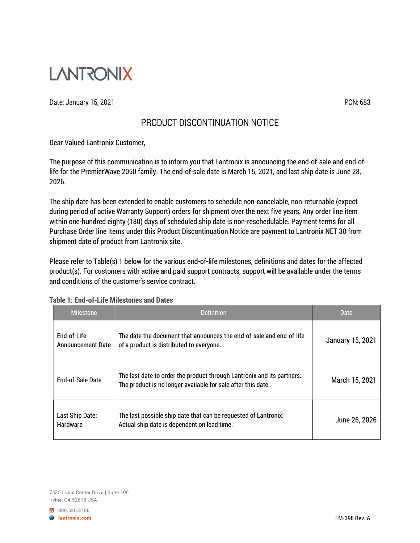

Date: January 15, 2021 **PCN: 683** 

## PRODUCT DISCONTINUATION NOTICE

Dear Valued Lantronix Customer,

The purpose of this communication is to inform you that Lantronix is announcing the end-of-sale and end-oflife for the PremierWave 2050 family. The end-of-sale date is March 15, 2021, and last ship date is June 28, 2026.

The ship date has been extended to enable customers to schedule non-cancelable, non-returnable (expect during period of active Warranty Support) orders for shipment over the next five years. Any order line item within one-hundred eighty (180) days of scheduled ship date is non-reschedulable. Payment terms for all Purchase Order line items under this Product Discontinuation Notice are payment to Lantronix NET 30 from shipment date of product from Lantronix site.

Please refer to Table(s) 1 below for the various end-of-life milestones, definitions and dates for the affected product(s). For customers with active and paid support contracts, support will be available under the terms and conditions of the customer's service contract.

| Milestone                               | Definition                                                                                                                             | Date             |
|-----------------------------------------|----------------------------------------------------------------------------------------------------------------------------------------|------------------|
| End-of-Life<br><b>Announcement Date</b> | The date the document that announces the end-of-sale and end-of-life<br>of a product is distributed to everyone.                       | January 15, 2021 |
| <b>Fnd-of-Sale Date</b>                 | The last date to order the product through Lantronix and its partners.<br>The product is no longer available for sale after this date. | March 15, 2021   |
| Last Ship Date:<br>Hardware             | The last possible ship date that can be requested of Lantronix.<br>Actual ship date is dependent on lead time.                         | June 26, 2026    |

## Table 1: End-of-Life Milestones and Dates

800.526.8766 **B** lantronix.com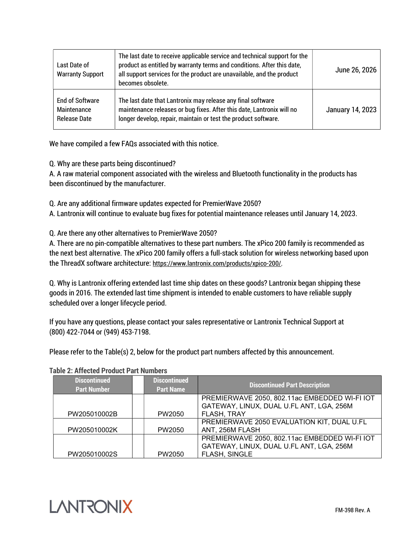| Last Date of<br><b>Warranty Support</b>                      | The last date to receive applicable service and technical support for the<br>product as entitled by warranty terms and conditions. After this date,<br>all support services for the product are unavailable, and the product<br>becomes obsolete. | June 26, 2026    |
|--------------------------------------------------------------|---------------------------------------------------------------------------------------------------------------------------------------------------------------------------------------------------------------------------------------------------|------------------|
| <b>End of Software</b><br>Maintenance<br><b>Release Date</b> | The last date that Lantronix may release any final software<br>maintenance releases or bug fixes. After this date, Lantronix will no<br>longer develop, repair, maintain or test the product software.                                            | January 14, 2023 |

We have compiled a few FAQs associated with this notice.

Q. Why are these parts being discontinued?

A. A raw material component associated with the wireless and Bluetooth functionality in the products has been discontinued by the manufacturer.

Q. Are any additional firmware updates expected for PremierWave 2050?

A. Lantronix will continue to evaluate bug fixes for potential maintenance releases until January 14, 2023.

Q. Are there any other alternatives to PremierWave 2050?

A. There are no pin-compatible alternatives to these part numbers. The xPico 200 family is recommended as the next best alternative. The xPico 200 family offers a full-stack solution for wireless networking based upon the ThreadX software architecture: https://www.lantronix.com/products/xpico-200/.

Q. Why is Lantronix offering extended last time ship dates on these goods? Lantronix began shipping these goods in 2016. The extended last time shipment is intended to enable customers to have reliable supply scheduled over a longer lifecycle period.

If you have any questions, please contact your sales representative or Lantronix Technical Support at (800) 422-7044 or (949) 453-7198.

Please refer to the Table(s) 2, below for the product part numbers affected by this announcement.

|  |  |  |  |  | <b>Table 2: Affected Product Part Numbers</b> |
|--|--|--|--|--|-----------------------------------------------|
|--|--|--|--|--|-----------------------------------------------|

| <b>Discontinued</b><br><b>Part Number</b> | <b>Discontinued</b><br><b>Part Name</b> | <b>Discontinued Part Description</b>                                                      |
|-------------------------------------------|-----------------------------------------|-------------------------------------------------------------------------------------------|
|                                           |                                         | PREMIERWAVE 2050, 802.11ac EMBEDDED WI-FI IOT<br>GATEWAY, LINUX, DUAL U.FL ANT, LGA, 256M |
| PW205010002B                              | PW2050                                  | FLASH, TRAY                                                                               |
| PW205010002K                              | PW2050                                  | PREMIERWAVE 2050 EVALUATION KIT, DUAL U.FL<br>ANT, 256M FLASH                             |
|                                           |                                         | PREMIERWAVE 2050, 802.11ac EMBEDDED WI-FI IOT                                             |
| PW205010002S                              | PW2050                                  | GATEWAY, LINUX, DUAL U.FL ANT, LGA, 256M<br>FLASH, SINGLE                                 |